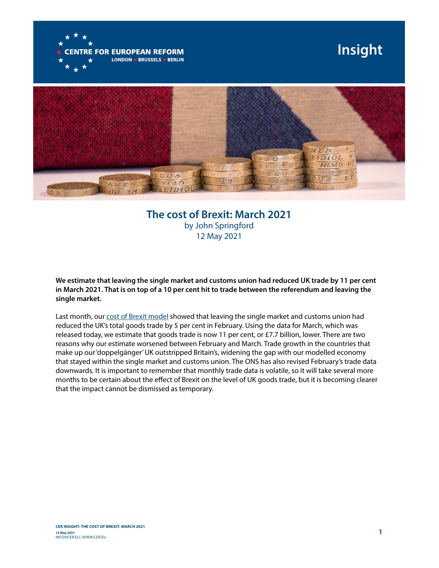

## **Insight**



## **The cost of Brexit: March 2021** by John Springford 12 May 2021

**We estimate that leaving the single market and customs union had reduced UK trade by 11 per cent in March 2021. That is on top of a 10 per cent hit to trade between the referendum and leaving the single market.**

Last month, our [cost of Brexit model](https://www.cer.eu/insights/cost-brexit-february-2021) showed that leaving the single market and customs union had reduced the UK's total goods trade by 5 per cent in February. Using the data for March, which was released today, we estimate that goods trade is now 11 per cent, or £7.7 billion, lower. There are two reasons why our estimate worsened between February and March. Trade growth in the countries that make up our 'doppelgänger' UK outstripped Britain's, widening the gap with our modelled economy that stayed within the single market and customs union. The ONS has also revised February's trade data downwards. It is important to remember that monthly trade data is volatile, so it will take several more months to be certain about the effect of Brexit on the level of UK goods trade, but it is becoming clearer that the impact cannot be dismissed as temporary.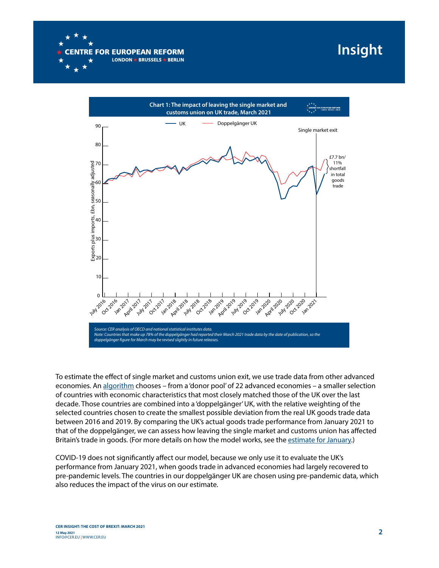

## **Insight**



To estimate the efect of single market and customs union exit, we use trade data from other advanced economies. An [algorithm](https://web.stanford.edu/~jhain/synthpage.html) chooses – from a 'donor pool' of 22 advanced economies – a smaller selection of countries with economic characteristics that most closely matched those of the UK over the last decade. Those countries are combined into a 'doppelgänger' UK, with the relative weighting of the selected countries chosen to create the smallest possible deviation from the real UK goods trade data between 2016 and 2019. By comparing the UK's actual goods trade performance from January 2021 to that of the doppelgänger, we can assess how leaving the single market and customs union has afected Britain's trade in goods. (For more details on how the model works, see the [estimate for January.](https://www.cer.eu/insights/cost-brexit-january-2021-end-transition-edition))

COVID-19 does not signifcantly afect our model, because we only use it to evaluate the UK's performance from January 2021, when goods trade in advanced economies had largely recovered to pre-pandemic levels. The countries in our doppelgänger UK are chosen using pre-pandemic data, which also reduces the impact of the virus on our estimate.